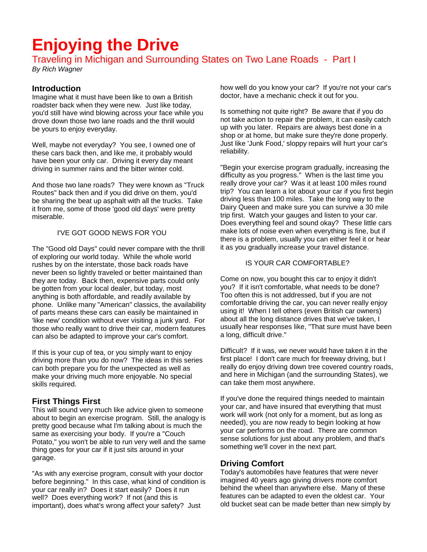# **Enjoying the Drive**

# Traveling in Michigan and Surrounding States on Two Lane Roads - Part I

*By Rich Wagner* 

# **Introduction**

Imagine what it must have been like to own a British roadster back when they were new. Just like today, you'd still have wind blowing across your face while you drove down those two lane roads and the thrill would be yours to enjoy everyday.

Well, maybe not everyday? You see, I owned one of these cars back then, and like me, it probably would have been your only car. Driving it every day meant driving in summer rains and the bitter winter cold.

And those two lane roads? They were known as "Truck Routes" back then and if you did drive on them, you'd be sharing the beat up asphalt with all the trucks. Take it from me, some of those 'good old days' were pretty miserable.

### I'VE GOT GOOD NEWS FOR YOU

The "Good old Days" could never compare with the thrill of exploring our world today. While the whole world rushes by on the interstate, those back roads have never been so lightly traveled or better maintained than they are today. Back then, expensive parts could only be gotten from your local dealer, but today, most anything is both affordable, and readily available by phone. Unlike many "American" classics, the availability of parts means these cars can easily be maintained in 'like new' condition without ever visiting a junk yard. For those who really want to drive their car, modern features can also be adapted to improve your car's comfort.

If this is your cup of tea, or you simply want to enjoy driving more than you do now? The ideas in this series can both prepare you for the unexpected as well as make your driving much more enjoyable. No special skills required.

# **First Things First**

This will sound very much like advice given to someone about to begin an exercise program. Still, the analogy is pretty good because what I'm talking about is much the same as exercising your body. If you're a "Couch Potato," you won't be able to run very well and the same thing goes for your car if it just sits around in your garage.

"As with any exercise program, consult with your doctor before beginning." In this case, what kind of condition is your car really in? Does it start easily? Does it run well? Does everything work? If not (and this is important), does what's wrong affect your safety? Just

how well do you know your car? If you're not your car's doctor, have a mechanic check it out for you.

Is something not quite right? Be aware that if you do not take action to repair the problem, it can easily catch up with you later. Repairs are always best done in a shop or at home, but make sure they're done properly. Just like 'Junk Food,' sloppy repairs will hurt your car's reliability.

"Begin your exercise program gradually, increasing the difficulty as you progress." When is the last time you really drove your car? Was it at least 100 miles round trip? You can learn a lot about your car if you first begin driving less than 100 miles. Take the long way to the Dairy Queen and make sure you can survive a 30 mile trip first. Watch your gauges and listen to your car. Does everything feel and sound okay? These little cars make lots of noise even when everything is fine, but if there is a problem, usually you can either feel it or hear it as you gradually increase your travel distance.

### IS YOUR CAR COMFORTABLE?

Come on now, you bought this car to enjoy it didn't you? If it isn't comfortable, what needs to be done? Too often this is not addressed, but if you are not comfortable driving the car, you can never really enjoy using it! When I tell others (even British car owners) about all the long distance drives that we've taken, I usually hear responses like, "That sure must have been a long, difficult drive."

Difficult? If it was, we never would have taken it in the first place! I don't care much for freeway driving, but I really do enjoy driving down tree covered country roads, and here in Michigan (and the surrounding States), we can take them most anywhere.

If you've done the required things needed to maintain your car, and have insured that everything that must work will work (not only for a moment, but as long as needed), you are now ready to begin looking at how your car performs on the road. There are common sense solutions for just about any problem, and that's something we'll cover in the next part.

## **Driving Comfort**

Today's automobiles have features that were never imagined 40 years ago giving drivers more comfort behind the wheel than anywhere else. Many of these features can be adapted to even the oldest car. Your old bucket seat can be made better than new simply by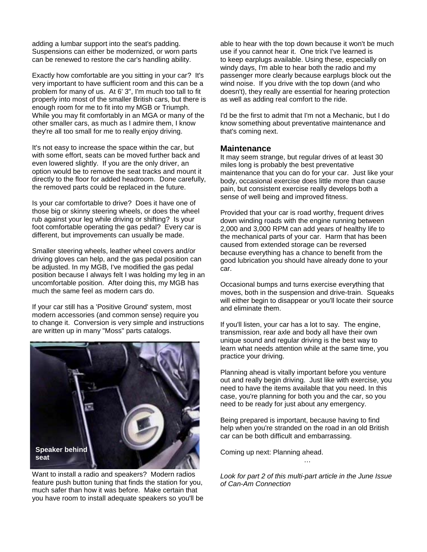adding a lumbar support into the seat's padding. Suspensions can either be modernized, or worn parts can be renewed to restore the car's handling ability.

Exactly how comfortable are you sitting in your car? It's very important to have sufficient room and this can be a problem for many of us. At 6' 3", I'm much too tall to fit properly into most of the smaller British cars, but there is enough room for me to fit into my MGB or Triumph. While you may fit comfortably in an MGA or many of the other smaller cars, as much as I admire them, I know they're all too small for me to really enjoy driving.

It's not easy to increase the space within the car, but with some effort, seats can be moved further back and even lowered slightly. If you are the only driver, an option would be to remove the seat tracks and mount it directly to the floor for added headroom. Done carefully, the removed parts could be replaced in the future.

Is your car comfortable to drive? Does it have one of those big or skinny steering wheels, or does the wheel rub against your leg while driving or shifting? Is your foot comfortable operating the gas pedal? Every car is different, but improvements can usually be made.

Smaller steering wheels, leather wheel covers and/or driving gloves can help, and the gas pedal position can be adjusted. In my MGB, I've modified the gas pedal position because I always felt I was holding my leg in an uncomfortable position. After doing this, my MGB has much the same feel as modern cars do.

If your car still has a 'Positive Ground' system, most modern accessories (and common sense) require you to change it. Conversion is very simple and instructions are written up in many "Moss" parts catalogs.



Want to install a radio and speakers? Modern radios feature push button tuning that finds the station for you, much safer than how it was before. Make certain that you have room to install adequate speakers so you'll be

able to hear with the top down because it won't be much use if you cannot hear it. One trick I've learned is to keep earplugs available. Using these, especially on windy days, I'm able to hear both the radio and my passenger more clearly because earplugs block out the wind noise. If you drive with the top down (and who doesn't), they really are essential for hearing protection as well as adding real comfort to the ride.

I'd be the first to admit that I'm not a Mechanic, but I do know something about preventative maintenance and that's coming next.

### **Maintenance**

It may seem strange, but regular drives of at least 30 miles long is probably the best preventative maintenance that you can do for your car. Just like your body, occasional exercise does little more than cause pain, but consistent exercise really develops both a sense of well being and improved fitness.

Provided that your car is road worthy, frequent drives down winding roads with the engine running between 2,000 and 3,000 RPM can add years of healthy life to the mechanical parts of your car. Harm that has been caused from extended storage can be reversed because everything has a chance to benefit from the good lubrication you should have already done to your car.

Occasional bumps and turns exercise everything that moves, both in the suspension and drive-train. Squeaks will either begin to disappear or you'll locate their source and eliminate them.

If you'll listen, your car has a lot to say. The engine, transmission, rear axle and body all have their own unique sound and regular driving is the best way to learn what needs attention while at the same time, you practice your driving.

Planning ahead is vitally important before you venture out and really begin driving. Just like with exercise, you need to have the items available that you need. In this case, you're planning for both you and the car, so you need to be ready for just about any emergency.

Being prepared is important, because having to find help when you're stranded on the road in an old British car can be both difficult and embarrassing.

Coming up next: Planning ahead.

*Look for part 2 of this multi-part article in the June Issue of Can-Am Connection* 

…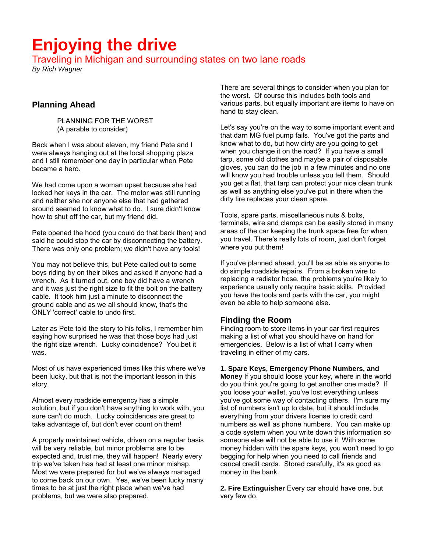# **Enjoying the drive**

Traveling in Michigan and surrounding states on two lane roads

*By Rich Wagner* 

# **Planning Ahead**

 PLANNING FOR THE WORST (A parable to consider)

Back when I was about eleven, my friend Pete and I were always hanging out at the local shopping plaza and I still remember one day in particular when Pete became a hero.

We had come upon a woman upset because she had locked her keys in the car. The motor was still running and neither she nor anyone else that had gathered around seemed to know what to do. I sure didn't know how to shut off the car, but my friend did.

Pete opened the hood (you could do that back then) and said he could stop the car by disconnecting the battery. There was only one problem; we didn't have any tools!

You may not believe this, but Pete called out to some boys riding by on their bikes and asked if anyone had a wrench. As it turned out, one boy did have a wrench and it was just the right size to fit the bolt on the battery cable. It took him just a minute to disconnect the ground cable and as we all should know, that's the ONLY 'correct' cable to undo first.

Later as Pete told the story to his folks, I remember him saying how surprised he was that those boys had just the right size wrench. Lucky coincidence? You bet it was.

Most of us have experienced times like this where we've been lucky, but that is not the important lesson in this story.

Almost every roadside emergency has a simple solution, but if you don't have anything to work with, you sure can't do much. Lucky coincidences are great to take advantage of, but don't ever count on them!

A properly maintained vehicle, driven on a regular basis will be very reliable, but minor problems are to be expected and, trust me, they will happen! Nearly every trip we've taken has had at least one minor mishap. Most we were prepared for but we've always managed to come back on our own. Yes, we've been lucky many times to be at just the right place when we've had problems, but we were also prepared.

There are several things to consider when you plan for the worst. Of course this includes both tools and various parts, but equally important are items to have on hand to stay clean.

Let's say you're on the way to some important event and that darn MG fuel pump fails. You've got the parts and know what to do, but how dirty are you going to get when you change it on the road? If you have a small tarp, some old clothes and maybe a pair of disposable gloves, you can do the job in a few minutes and no one will know you had trouble unless you tell them. Should you get a flat, that tarp can protect your nice clean trunk as well as anything else you've put in there when the dirty tire replaces your clean spare.

Tools, spare parts, miscellaneous nuts & bolts, terminals, wire and clamps can be easily stored in many areas of the car keeping the trunk space free for when you travel. There's really lots of room, just don't forget where you put them!

If you've planned ahead, you'll be as able as anyone to do simple roadside repairs. From a broken wire to replacing a radiator hose, the problems you're likely to experience usually only require basic skills. Provided you have the tools and parts with the car, you might even be able to help someone else.

## **Finding the Room**

Finding room to store items in your car first requires making a list of what you should have on hand for emergencies. Below is a list of what I carry when traveling in either of my cars.

### **1. Spare Keys, Emergency Phone Numbers, and**

**Money** If you should loose your key, where in the world do you think you're going to get another one made? If you loose your wallet, you've lost everything unless you've got some way of contacting others. I'm sure my list of numbers isn't up to date, but it should include everything from your drivers license to credit card numbers as well as phone numbers. You can make up a code system when you write down this information so someone else will not be able to use it. With some money hidden with the spare keys, you won't need to go begging for help when you need to call friends and cancel credit cards. Stored carefully, it's as good as money in the bank.

**2. Fire Extinguisher** Every car should have one, but very few do.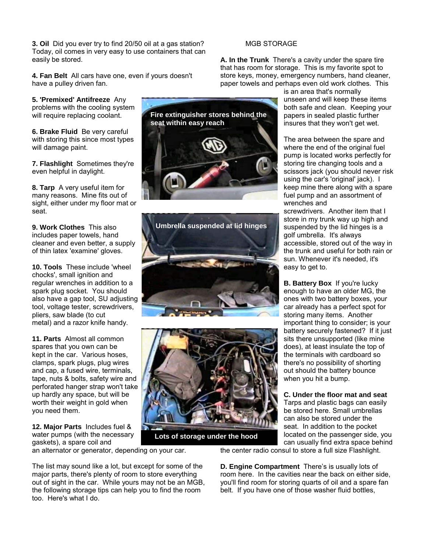**3. Oil** Did you ever try to find 20/50 oil at a gas station? Today, oil comes in very easy to use containers that can easily be stored.

**4. Fan Belt** All cars have one, even if yours doesn't have a pulley driven fan.

**5. 'Premixed' Antifreeze** Any problems with the cooling system will require replacing coolant.

**6. Brake Fluid** Be very careful with storing this since most types will damage paint.

**7. Flashlight** Sometimes they're even helpful in daylight.

**8. Tarp** A very useful item for many reasons. Mine fits out of sight, either under my floor mat or seat.

**9. Work Clothes** This also includes paper towels, hand cleaner and even better, a supply of thin latex 'examine' gloves.

**10. Tools** These include 'wheel chocks', small ignition and regular wrenches in addition to a spark plug socket. You should also have a gap tool, SU adjusting tool, voltage tester, screwdrivers, pliers, saw blade (to cut metal) and a razor knife handy.

**11. Parts** Almost all common spares that you own can be kept in the car. Various hoses, clamps, spark plugs, plug wires and cap, a fused wire, terminals, tape, nuts & bolts, safety wire and perforated hanger strap won't take up hardly any space, but will be worth their weight in gold when you need them.

**12. Major Parts** Includes fuel & water pumps (with the necessary gaskets), a spare coil and

an alternator or generator, depending on your car.

The list may sound like a lot, but except for some of the major parts, there's plenty of room to store everything out of sight in the car. While yours may not be an MGB, the following storage tips can help you to find the room too. Here's what I do.

MGB STORAGE

**A. In the Trunk** There's a cavity under the spare tire that has room for storage. This is my favorite spot to store keys, money, emergency numbers, hand cleaner, paper towels and perhaps even old work clothes. This

> is an area that's normally unseen and will keep these items both safe and clean. Keeping your papers in sealed plastic further insures that they won't get wet.

The area between the spare and where the end of the original fuel pump is located works perfectly for storing tire changing tools and a scissors jack (you should never risk using the car's 'original' jack). I keep mine there along with a spare fuel pump and an assortment of wrenches and

screwdrivers. Another item that I store in my trunk way up high and suspended by the lid hinges is a golf umbrella. It's always accessible, stored out of the way in the trunk and useful for both rain or sun. Whenever it's needed, it's easy to get to.

**B. Battery Box** If you're lucky enough to have an older MG, the ones with two battery boxes, your car already has a perfect spot for storing many items. Another important thing to consider; is your battery securely fastened? If it just sits there unsupported (like mine does), at least insulate the top of the terminals with cardboard so there's no possibility of shorting out should the battery bounce when you hit a bump.

**C. Under the floor mat and seat**  Tarps and plastic bags can easily be stored here. Small umbrellas can also be stored under the seat. In addition to the pocket located on the passenger side, you can usually find extra space behind

the center radio consul to store a full size Flashlight.

**D. Engine Compartment** There's is usually lots of room here. In the cavities near the back on either side, you'll find room for storing quarts of oil and a spare fan belt. If you have one of those washer fluid bottles,



 **Lots of storage under the hood** 



**Fire extinguisher stores behind the** 

**seat within easy reach**